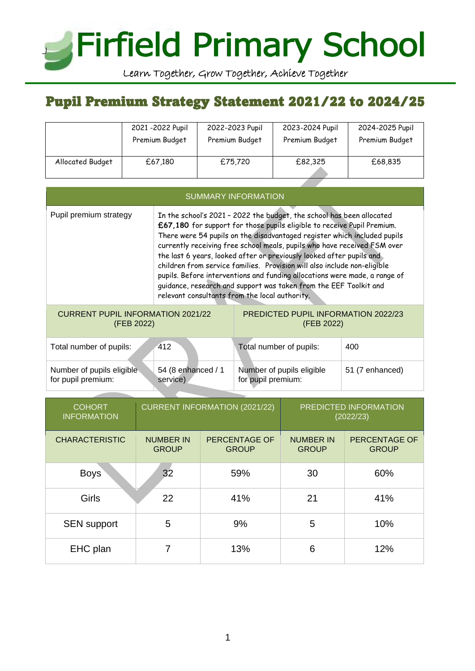# **Firfield Primary School** J

Learn Together, Grow Together, Achieve Together

# Pupil Premium Strategy Statement 2021/22 to 2024/25

|                  | 2021-2022 Pupil | 2022-2023 Pupil | 2023-2024 Pupil | 2024-2025 Pupil |
|------------------|-----------------|-----------------|-----------------|-----------------|
|                  | Premium Budget  | Premium Budget  | Premium Budget  | Premium Budget  |
| Allocated Budget | £67,180         | £75,720         | £82,325         | £68,835         |

| <b>SUMMARY INFORMATION</b>                             |                                                                                                                                                                                                                                                                                                                                                                                                                                                                                                                                                                                                                                                                   |                                                          |     |  |
|--------------------------------------------------------|-------------------------------------------------------------------------------------------------------------------------------------------------------------------------------------------------------------------------------------------------------------------------------------------------------------------------------------------------------------------------------------------------------------------------------------------------------------------------------------------------------------------------------------------------------------------------------------------------------------------------------------------------------------------|----------------------------------------------------------|-----|--|
| Pupil premium strategy                                 | In the school's 2021 - 2022 the budget, the school has been allocated<br>£67,180 for support for those pupils eligible to receive Pupil Premium.<br>There were 54 pupils on the disadvantaged register which included pupils<br>currently receiving free school meals, pupils who have received FSM over<br>the last 6 years, looked after or previously looked after pupils and<br>children from service families. Provision will also include non-eligible<br>pupils. Before interventions and funding allocations were made, a range of<br>guidance, research and support was taken from the EEF Toolkit and<br>relevant consultants from the local authority. |                                                          |     |  |
| <b>CURRENT PUPIL INFORMATION 2021/22</b><br>(FEB 2022) |                                                                                                                                                                                                                                                                                                                                                                                                                                                                                                                                                                                                                                                                   | <b>PREDICTED PUPIL INFORMATION 2022/23</b><br>(FEB 2022) |     |  |
| Total number of pupils:                                | 412                                                                                                                                                                                                                                                                                                                                                                                                                                                                                                                                                                                                                                                               | Total number of pupils:                                  | 400 |  |

| ruan namburun papilo.     | T I 4              | <b>TURN HUITINGT OF PUPIIO.</b> | טד              |
|---------------------------|--------------------|---------------------------------|-----------------|
| Number of pupils eligible | 54 (8 enhanced / 1 | Number of pupils eligible       | 51 (7 enhanced) |
| for pupil premium:        | service)           | for pupil premium:              |                 |

| <b>COHORT</b><br><b>INFORMATION</b> |                                  | <b>CURRENT INFORMATION (2021/22)</b> |                                  | PREDICTED INFORMATION<br>(2022/23)   |
|-------------------------------------|----------------------------------|--------------------------------------|----------------------------------|--------------------------------------|
| <b>CHARACTERISTIC</b>               | <b>NUMBER IN</b><br><b>GROUP</b> | <b>PERCENTAGE OF</b><br><b>GROUP</b> | <b>NUMBER IN</b><br><b>GROUP</b> | <b>PERCENTAGE OF</b><br><b>GROUP</b> |
| <b>Boys</b>                         | 32                               | 59%                                  | 30                               | 60%                                  |
| Girls                               | 22                               | 41%                                  | 21                               | 41%                                  |
| <b>SEN</b> support                  | 5                                | 9%                                   | 5                                | 10%                                  |
| EHC plan                            | 7                                | 13%                                  | 6                                | 12%                                  |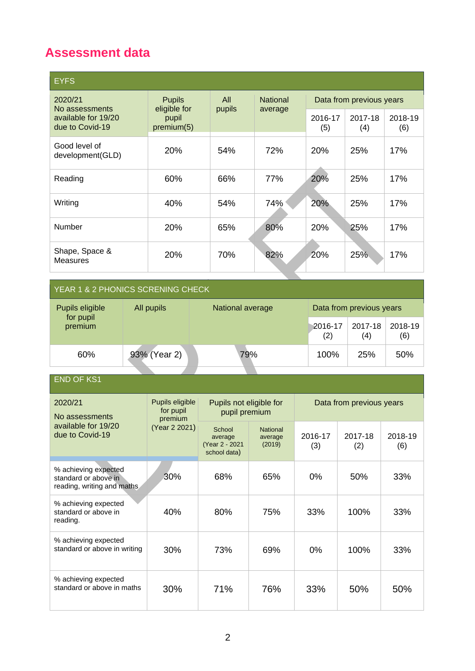## **Assessment data**

| <b>EYFS</b>                                              |                                     |        |                 |                          |                |                |
|----------------------------------------------------------|-------------------------------------|--------|-----------------|--------------------------|----------------|----------------|
| 2020/21                                                  | <b>Pupils</b>                       | All    | <b>National</b> | Data from previous years |                |                |
| No assessments<br>available for 19/20<br>due to Covid-19 | eligible for<br>pupil<br>premium(5) | pupils | average         | 2016-17<br>(5)           | 2017-18<br>(4) | 2018-19<br>(6) |
| Good level of<br>development(GLD)                        | 20%                                 | 54%    | 72%             | 20%                      | 25%            | 17%            |
| Reading                                                  | 60%                                 | 66%    | 77%             | 20%                      | 25%            | 17%            |
| Writing                                                  | 40%                                 | 54%    | 74%             | 20%                      | 25%            | 17%            |
| Number                                                   | 20%                                 | 65%    | 80%             | 20%                      | 25%            | 17%            |
| Shape, Space &<br><b>Measures</b>                        | 20%                                 | 70%    | 82%             | 20%                      | 25%            | 17%            |

#### YEAR 1 & 2 PHONICS SCRENING CHECK

| Pupils eligible      | All pupils   | Data from previous years<br>National average |                |                |                |
|----------------------|--------------|----------------------------------------------|----------------|----------------|----------------|
| for pupil<br>premium |              |                                              | 2016-17<br>(2) | 2017-18<br>(4) | 2018-19<br>(6) |
| 60%                  | 93% (Year 2) | 79%                                          | 100%           | 25%            | 50%            |

END OF KS1

| 2020/21<br>No assessments                                                  | Pupils eligible<br>for pupil<br>premium | Pupils not eligible for<br>pupil premium            |                                      | Data from previous years |                |                |
|----------------------------------------------------------------------------|-----------------------------------------|-----------------------------------------------------|--------------------------------------|--------------------------|----------------|----------------|
| available for 19/20<br>due to Covid-19                                     | (Year 2 2021)                           | School<br>average<br>(Year 2 - 2021<br>school data) | <b>National</b><br>average<br>(2019) | 2016-17<br>(3)           | 2017-18<br>(2) | 2018-19<br>(6) |
| % achieving expected<br>standard or above in<br>reading, writing and maths | 30%                                     | 68%                                                 | 65%                                  | 0%                       | 50%            | 33%            |
| % achieving expected<br>standard or above in<br>reading.                   | 40%                                     | 80%                                                 | 75%                                  | 33%                      | 100%           | 33%            |
| % achieving expected<br>standard or above in writing                       | <b>30%</b>                              | 73%                                                 | 69%                                  | 0%                       | 100%           | 33%            |
| % achieving expected<br>standard or above in maths                         | 30%                                     | 71%                                                 | 76%                                  | 33%                      | 50%            | 50%            |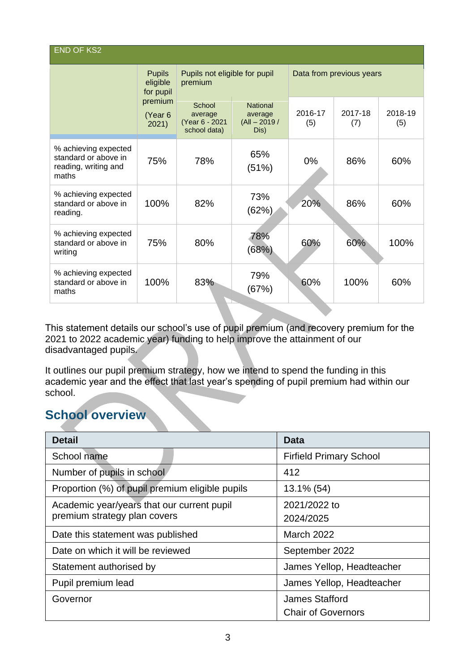| <b>END OF KS2</b>                                                             |                                        |                                                     |                                                      |                          |                |                |
|-------------------------------------------------------------------------------|----------------------------------------|-----------------------------------------------------|------------------------------------------------------|--------------------------|----------------|----------------|
|                                                                               | <b>Pupils</b><br>eligible<br>for pupil | Pupils not eligible for pupil<br>premium            |                                                      | Data from previous years |                |                |
|                                                                               | premium<br>(Year 6<br>2021)            | School<br>average<br>(Year 6 - 2021<br>school data) | <b>National</b><br>average<br>$(AII - 2019)$<br>Dis) | 2016-17<br>(5)           | 2017-18<br>(7) | 2018-19<br>(5) |
| % achieving expected<br>standard or above in<br>reading, writing and<br>maths | 75%                                    | 78%                                                 | 65%<br>(51%)                                         | $0\%$                    | 86%            | 60%            |
| % achieving expected<br>standard or above in<br>reading.                      | 100%                                   | 82%                                                 | 73%<br>(62%)                                         | 20%                      | 86%            | 60%            |
| % achieving expected<br>standard or above in<br>writing                       | 75%                                    | 80%                                                 | 78%<br>(68%)                                         | 60%                      | 60%            | 100%           |
| % achieving expected<br>standard or above in<br>maths                         | 100%                                   | 83%                                                 | 79%<br>(67%)                                         | 60%                      | 100%           | 60%            |

This statement details our school's use of pupil premium (and recovery premium for the 2021 to 2022 academic year) funding to help improve the attainment of our disadvantaged pupils.

It outlines our pupil premium strategy, how we intend to spend the funding in this academic year and the effect that last year's spending of pupil premium had within our school.

### **School overview**

| <b>Detail</b>                                                              | <b>Data</b>                                        |
|----------------------------------------------------------------------------|----------------------------------------------------|
| School name                                                                | <b>Firfield Primary School</b>                     |
| Number of pupils in school                                                 | 412                                                |
| Proportion (%) of pupil premium eligible pupils                            | 13.1% (54)                                         |
| Academic year/years that our current pupil<br>premium strategy plan covers | 2021/2022 to<br>2024/2025                          |
| Date this statement was published                                          | <b>March 2022</b>                                  |
| Date on which it will be reviewed                                          | September 2022                                     |
| Statement authorised by                                                    | James Yellop, Headteacher                          |
| Pupil premium lead                                                         | James Yellop, Headteacher                          |
| Governor                                                                   | <b>James Stafford</b><br><b>Chair of Governors</b> |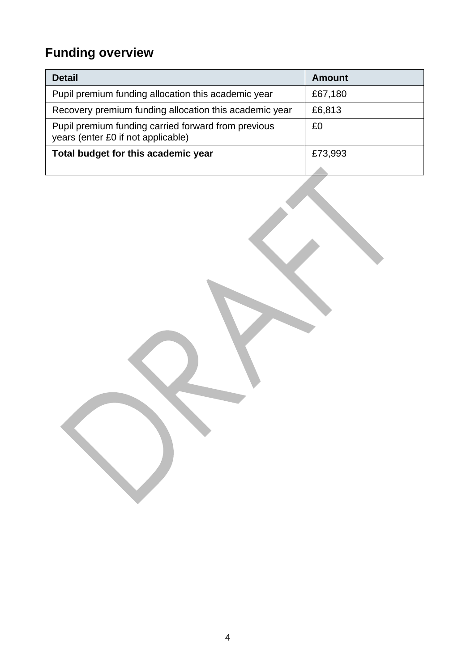# **Funding overview**

| <b>Detail</b>                                                                             | <b>Amount</b> |
|-------------------------------------------------------------------------------------------|---------------|
| Pupil premium funding allocation this academic year                                       | £67,180       |
| Recovery premium funding allocation this academic year                                    | £6,813        |
| Pupil premium funding carried forward from previous<br>years (enter £0 if not applicable) | £0            |
| Total budget for this academic year                                                       | £73,993       |
|                                                                                           |               |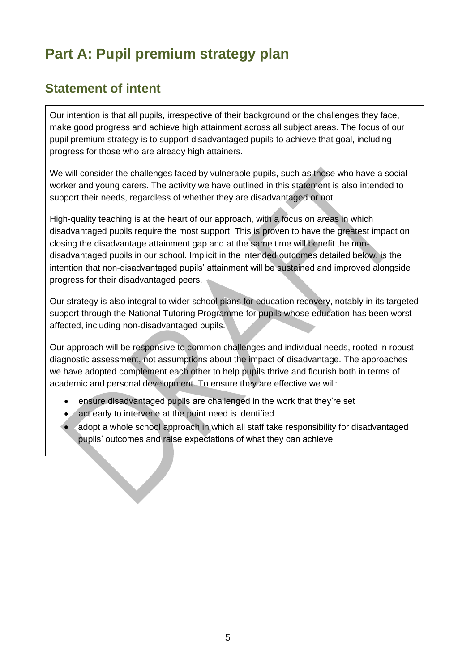# **Part A: Pupil premium strategy plan**

## **Statement of intent**

Our intention is that all pupils, irrespective of their background or the challenges they face, make good progress and achieve high attainment across all subject areas. The focus of our pupil premium strategy is to support disadvantaged pupils to achieve that goal, including progress for those who are already high attainers.

We will consider the challenges faced by vulnerable pupils, such as those who have a social worker and young carers. The activity we have outlined in this statement is also intended to support their needs, regardless of whether they are disadvantaged or not.

High-quality teaching is at the heart of our approach, with a focus on areas in which disadvantaged pupils require the most support. This is proven to have the greatest impact on closing the disadvantage attainment gap and at the same time will benefit the nondisadvantaged pupils in our school. Implicit in the intended outcomes detailed below, is the intention that non-disadvantaged pupils' attainment will be sustained and improved alongside progress for their disadvantaged peers.

Our strategy is also integral to wider school plans for education recovery, notably in its targeted support through the National Tutoring Programme for pupils whose education has been worst affected, including non-disadvantaged pupils.

Our approach will be responsive to common challenges and individual needs, rooted in robust diagnostic assessment, not assumptions about the impact of disadvantage. The approaches we have adopted complement each other to help pupils thrive and flourish both in terms of academic and personal development. To ensure they are effective we will:

- ensure disadvantaged pupils are challenged in the work that they're set
- act early to intervene at the point need is identified
- adopt a whole school approach in which all staff take responsibility for disadvantaged pupils' outcomes and raise expectations of what they can achieve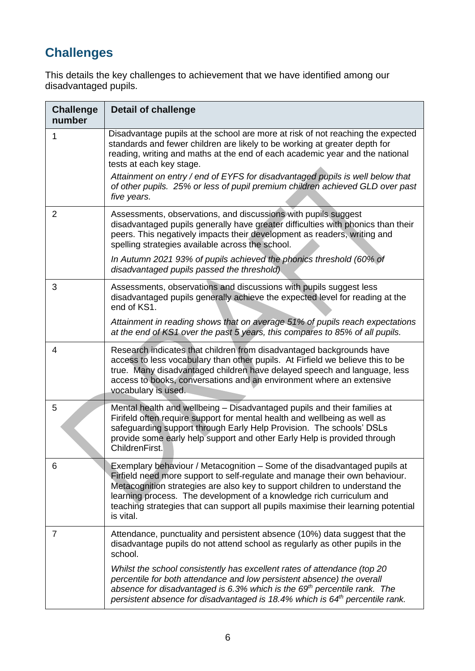# **Challenges**

This details the key challenges to achievement that we have identified among our disadvantaged pupils.

| <b>Challenge</b><br>number | <b>Detail of challenge</b>                                                                                                                                                                                                                                                                                                                                                                                        |
|----------------------------|-------------------------------------------------------------------------------------------------------------------------------------------------------------------------------------------------------------------------------------------------------------------------------------------------------------------------------------------------------------------------------------------------------------------|
| 1                          | Disadvantage pupils at the school are more at risk of not reaching the expected<br>standards and fewer children are likely to be working at greater depth for<br>reading, writing and maths at the end of each academic year and the national<br>tests at each key stage.                                                                                                                                         |
|                            | Attainment on entry / end of EYFS for disadvantaged pupils is well below that<br>of other pupils. 25% or less of pupil premium children achieved GLD over past<br>five years.                                                                                                                                                                                                                                     |
| $\overline{2}$             | Assessments, observations, and discussions with pupils suggest<br>disadvantaged pupils generally have greater difficulties with phonics than their<br>peers. This negatively impacts their development as readers, writing and<br>spelling strategies available across the school.                                                                                                                                |
|                            | In Autumn 2021 93% of pupils achieved the phonics threshold (60% of<br>disadvantaged pupils passed the threshold).                                                                                                                                                                                                                                                                                                |
| 3                          | Assessments, observations and discussions with pupils suggest less<br>disadvantaged pupils generally achieve the expected level for reading at the<br>end of KS1.                                                                                                                                                                                                                                                 |
|                            | Attainment in reading shows that on average 51% of pupils reach expectations<br>at the end of KS1 over the past 5 years, this compares to 85% of all pupils.                                                                                                                                                                                                                                                      |
| 4                          | Research indicates that children from disadvantaged backgrounds have<br>access to less vocabulary than other pupils. At Firfield we believe this to be<br>true. Many disadvantaged children have delayed speech and language, less<br>access to books, conversations and an environment where an extensive<br>vocabulary is used.                                                                                 |
| 5                          | Mental health and wellbeing - Disadvantaged pupils and their families at<br>Firifeld often require support for mental health and wellbeing as well as<br>safeguarding support through Early Help Provision. The schools' DSLs<br>provide some early help support and other Early Help is provided through<br>ChildrenFirst.                                                                                       |
| 6                          | Exemplary behaviour / Metacognition – Some of the disadvantaged pupils at<br>Firfield need more support to self-regulate and manage their own behaviour.<br>Metacognition strategies are also key to support children to understand the<br>learning process. The development of a knowledge rich curriculum and<br>teaching strategies that can support all pupils maximise their learning potential<br>is vital. |
| $\overline{7}$             | Attendance, punctuality and persistent absence (10%) data suggest that the<br>disadvantage pupils do not attend school as regularly as other pupils in the<br>school.                                                                                                                                                                                                                                             |
|                            | Whilst the school consistently has excellent rates of attendance (top 20<br>percentile for both attendance and low persistent absence) the overall<br>absence for disadvantaged is 6.3% which is the $69th$ percentile rank. The<br>persistent absence for disadvantaged is 18.4% which is $64th$ percentile rank.                                                                                                |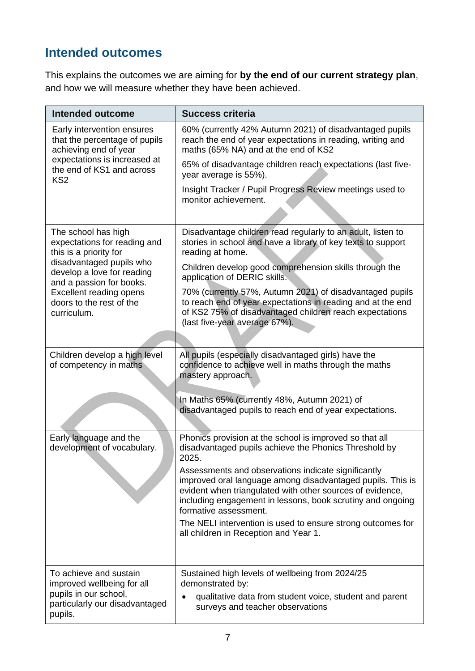## **Intended outcomes**

This explains the outcomes we are aiming for **by the end of our current strategy plan**, and how we will measure whether they have been achieved.

| Intended outcome                                                                                                           | <b>Success criteria</b>                                                                                                                                                                                                                                               |
|----------------------------------------------------------------------------------------------------------------------------|-----------------------------------------------------------------------------------------------------------------------------------------------------------------------------------------------------------------------------------------------------------------------|
| Early intervention ensures<br>that the percentage of pupils<br>achieving end of year                                       | 60% (currently 42% Autumn 2021) of disadvantaged pupils<br>reach the end of year expectations in reading, writing and<br>maths (65% NA) and at the end of KS2                                                                                                         |
| expectations is increased at<br>the end of KS1 and across<br>KS <sub>2</sub>                                               | 65% of disadvantage children reach expectations (last five-<br>year average is 55%).                                                                                                                                                                                  |
|                                                                                                                            | Insight Tracker / Pupil Progress Review meetings used to<br>monitor achievement.                                                                                                                                                                                      |
|                                                                                                                            |                                                                                                                                                                                                                                                                       |
| The school has high<br>expectations for reading and<br>this is a priority for                                              | Disadvantage children read regularly to an adult, listen to<br>stories in school and have a library of key texts to support<br>reading at home.                                                                                                                       |
| disadvantaged pupils who<br>develop a love for reading<br>and a passion for books.                                         | Children develop good comprehension skills through the<br>application of DERIC skills.                                                                                                                                                                                |
| Excellent reading opens<br>doors to the rest of the<br>curriculum.                                                         | 70% (currently 57%, Autumn 2021) of disadvantaged pupils<br>to reach end of year expectations in reading and at the end<br>of KS2 75% of disadvantaged children reach expectations<br>(last five-year average 67%).                                                   |
|                                                                                                                            |                                                                                                                                                                                                                                                                       |
| Children develop a high level<br>of competency in maths                                                                    | All pupils (especially disadvantaged girls) have the<br>confidence to achieve well in maths through the maths<br>mastery approach.                                                                                                                                    |
|                                                                                                                            | In Maths 65% (currently 48%, Autumn 2021) of<br>disadvantaged pupils to reach end of year expectations.                                                                                                                                                               |
| Early language and the<br>development of vocabulary.                                                                       | Phonics provision at the school is improved so that all<br>disadvantaged pupils achieve the Phonics Threshold by<br>2025.                                                                                                                                             |
|                                                                                                                            | Assessments and observations indicate significantly<br>improved oral language among disadvantaged pupils. This is<br>evident when triangulated with other sources of evidence,<br>including engagement in lessons, book scrutiny and ongoing<br>formative assessment. |
|                                                                                                                            | The NELI intervention is used to ensure strong outcomes for<br>all children in Reception and Year 1.                                                                                                                                                                  |
| To achieve and sustain<br>improved wellbeing for all<br>pupils in our school,<br>particularly our disadvantaged<br>pupils. | Sustained high levels of wellbeing from 2024/25<br>demonstrated by:<br>qualitative data from student voice, student and parent<br>surveys and teacher observations                                                                                                    |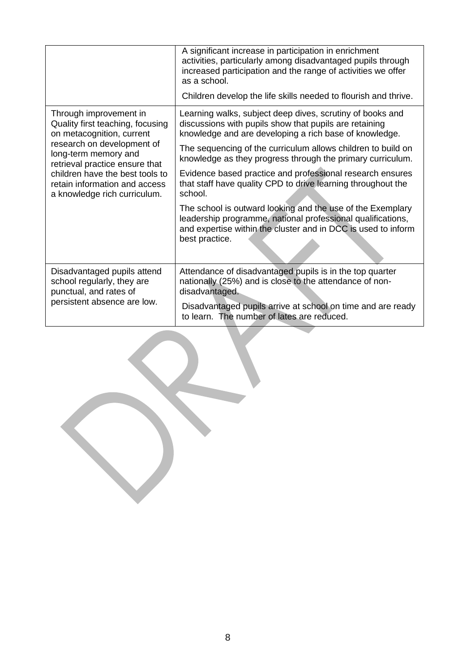|                                                                                                                                                                                                                                                                                     | A significant increase in participation in enrichment<br>activities, particularly among disadvantaged pupils through<br>increased participation and the range of activities we offer<br>as a school.         |
|-------------------------------------------------------------------------------------------------------------------------------------------------------------------------------------------------------------------------------------------------------------------------------------|--------------------------------------------------------------------------------------------------------------------------------------------------------------------------------------------------------------|
|                                                                                                                                                                                                                                                                                     | Children develop the life skills needed to flourish and thrive.                                                                                                                                              |
| Through improvement in<br>Quality first teaching, focusing<br>on metacognition, current<br>research on development of<br>long-term memory and<br>retrieval practice ensure that<br>children have the best tools to<br>retain information and access<br>a knowledge rich curriculum. | Learning walks, subject deep dives, scrutiny of books and<br>discussions with pupils show that pupils are retaining<br>knowledge and are developing a rich base of knowledge.                                |
|                                                                                                                                                                                                                                                                                     | The sequencing of the curriculum allows children to build on<br>knowledge as they progress through the primary curriculum.                                                                                   |
|                                                                                                                                                                                                                                                                                     | Evidence based practice and professional research ensures<br>that staff have quality CPD to drive learning throughout the<br>school.                                                                         |
|                                                                                                                                                                                                                                                                                     | The school is outward looking and the use of the Exemplary<br>leadership programme, national professional qualifications,<br>and expertise within the cluster and in DCC is used to inform<br>best practice. |
| Disadvantaged pupils attend<br>school regularly, they are<br>punctual, and rates of<br>persistent absence are low.                                                                                                                                                                  | Attendance of disadvantaged pupils is in the top quarter<br>nationally (25%) and is close to the attendance of non-<br>disadvantaged.                                                                        |
|                                                                                                                                                                                                                                                                                     | Disadvantaged pupils arrive at school on time and are ready<br>to learn. The number of lates are reduced.                                                                                                    |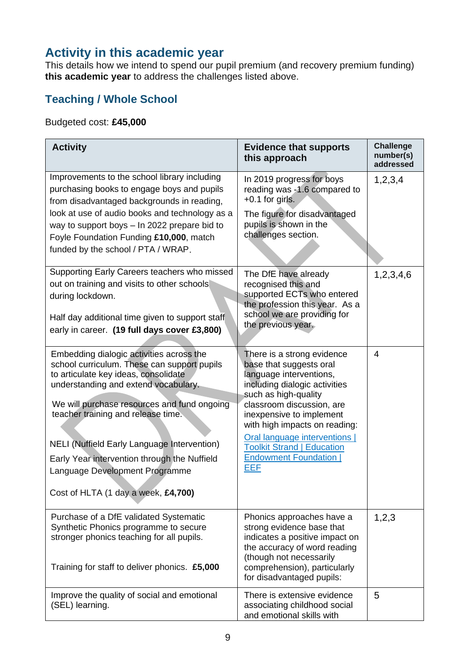### **Activity in this academic year**

This details how we intend to spend our pupil premium (and recovery premium funding) **this academic year** to address the challenges listed above.

#### **Teaching / Whole School**

#### Budgeted cost: **£45,000**

| <b>Activity</b>                                                                                                                                                                                                                                                                                                                                                                                                                             | <b>Evidence that supports</b><br>this approach                                                                                                                                                                                                                                                                                                         | <b>Challenge</b><br>number(s)<br>addressed |
|---------------------------------------------------------------------------------------------------------------------------------------------------------------------------------------------------------------------------------------------------------------------------------------------------------------------------------------------------------------------------------------------------------------------------------------------|--------------------------------------------------------------------------------------------------------------------------------------------------------------------------------------------------------------------------------------------------------------------------------------------------------------------------------------------------------|--------------------------------------------|
| Improvements to the school library including<br>purchasing books to engage boys and pupils<br>from disadvantaged backgrounds in reading,<br>look at use of audio books and technology as a<br>way to support boys - In 2022 prepare bid to<br>Foyle Foundation Funding £10,000, match<br>funded by the school / PTA / WRAP.                                                                                                                 | In 2019 progress for boys<br>reading was -1.6 compared to<br>$+0.1$ for girls.<br>The figure for disadvantaged<br>pupils is shown in the<br>challenges section.                                                                                                                                                                                        | 1,2,3,4                                    |
| Supporting Early Careers teachers who missed<br>out on training and visits to other schools<br>during lockdown.<br>Half day additional time given to support staff<br>early in career. (19 full days cover £3,800)                                                                                                                                                                                                                          | The DfE have already<br>recognised this and<br>supported ECTs who entered<br>the profession this year. As a<br>school we are providing for<br>the previous year.                                                                                                                                                                                       | 1,2,3,4,6                                  |
| Embedding dialogic activities across the<br>school curriculum. These can support pupils<br>to articulate key ideas, consolidate<br>understanding and extend vocabulary.<br>We will purchase resources and fund ongoing<br>teacher training and release time.<br><b>NELI</b> (Nuffield Early Language Intervention)<br>Early Year intervention through the Nuffield<br>Language Development Programme<br>Cost of HLTA (1 day a week, £4,700) | There is a strong evidence<br>base that suggests oral<br>language interventions,<br>including dialogic activities<br>such as high-quality<br>classroom discussion, are<br>inexpensive to implement<br>with high impacts on reading:<br>Oral language interventions  <br><b>Toolkit Strand   Education</b><br><b>Endowment Foundation</b><br><b>EEF</b> | 4                                          |
| Purchase of a DfE validated Systematic<br>Synthetic Phonics programme to secure<br>stronger phonics teaching for all pupils.<br>Training for staff to deliver phonics. £5,000                                                                                                                                                                                                                                                               | Phonics approaches have a<br>strong evidence base that<br>indicates a positive impact on<br>the accuracy of word reading<br>(though not necessarily<br>comprehension), particularly<br>for disadvantaged pupils:                                                                                                                                       | 1,2,3                                      |
| Improve the quality of social and emotional<br>(SEL) learning.                                                                                                                                                                                                                                                                                                                                                                              | There is extensive evidence<br>associating childhood social<br>and emotional skills with                                                                                                                                                                                                                                                               | 5                                          |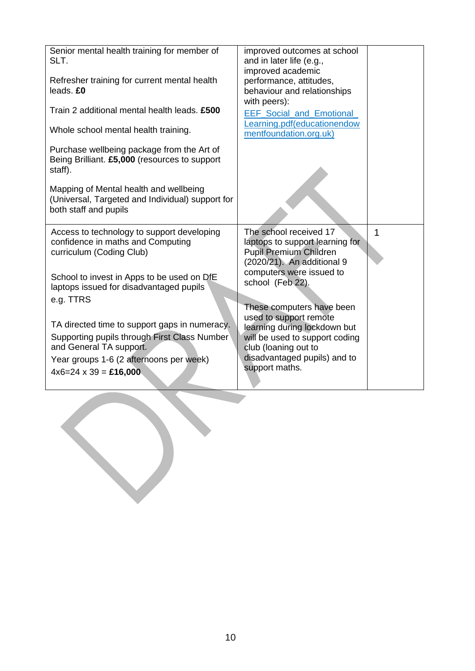| Senior mental health training for member of<br>SLT.<br>Refresher training for current mental health<br>leads. £0<br>Train 2 additional mental health leads. £500<br>Whole school mental health training.<br>Purchase wellbeing package from the Art of<br>Being Brilliant. £5,000 (resources to support<br>staff). | improved outcomes at school<br>and in later life (e.g.,<br>improved academic<br>performance, attitudes,<br>behaviour and relationships<br>with peers):<br><b>EEF Social and Emotional</b><br>Learning.pdf(educationendow<br>mentfoundation.org.uk) |                |
|--------------------------------------------------------------------------------------------------------------------------------------------------------------------------------------------------------------------------------------------------------------------------------------------------------------------|----------------------------------------------------------------------------------------------------------------------------------------------------------------------------------------------------------------------------------------------------|----------------|
| Mapping of Mental health and wellbeing<br>(Universal, Targeted and Individual) support for<br>both staff and pupils                                                                                                                                                                                                |                                                                                                                                                                                                                                                    |                |
| Access to technology to support developing<br>confidence in maths and Computing<br>curriculum (Coding Club)<br>School to invest in Apps to be used on DfE                                                                                                                                                          | The school received 17<br>laptops to support learning for<br>Pupil Premium Children<br>(2020/21). An additional 9<br>computers were issued to                                                                                                      | $\overline{1}$ |
| laptops issued for disadvantaged pupils<br>e.g. TTRS                                                                                                                                                                                                                                                               | school (Feb 22).<br>These computers have been                                                                                                                                                                                                      |                |
| TA directed time to support gaps in numeracy.<br>Supporting pupils through First Class Number<br>and General TA support.<br>Year groups 1-6 (2 afternoons per week)<br>$4x6=24 \times 39 = £16,000$                                                                                                                | used to support remote<br>learning during lockdown but<br>will be used to support coding<br>club (loaning out to<br>disadvantaged pupils) and to<br>support maths.                                                                                 |                |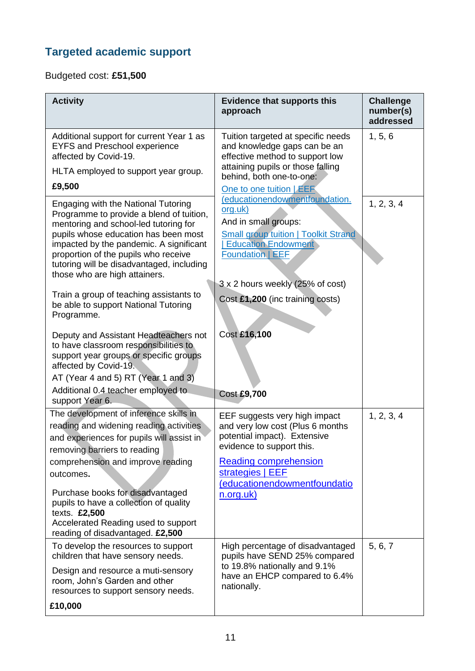## **Targeted academic support**

Budgeted cost: **£51,500**

| <b>Activity</b>                                                                                                                                                                                                                                                                                                                   | <b>Evidence that supports this</b><br>approach                                                                                                                                                          | <b>Challenge</b><br>number(s)<br>addressed |
|-----------------------------------------------------------------------------------------------------------------------------------------------------------------------------------------------------------------------------------------------------------------------------------------------------------------------------------|---------------------------------------------------------------------------------------------------------------------------------------------------------------------------------------------------------|--------------------------------------------|
| Additional support for current Year 1 as<br><b>EYFS and Preschool experience</b><br>affected by Covid-19.<br>HLTA employed to support year group.<br>£9,500                                                                                                                                                                       | Tuition targeted at specific needs<br>and knowledge gaps can be an<br>effective method to support low<br>attaining pupils or those falling<br>behind, both one-to-one:<br>One to one tuition <b>EER</b> | 1, 5, 6                                    |
| Engaging with the National Tutoring<br>Programme to provide a blend of tuition,<br>mentoring and school-led tutoring for<br>pupils whose education has been most<br>impacted by the pandemic. A significant<br>proportion of the pupils who receive<br>tutoring will be disadvantaged, including<br>those who are high attainers. | (educationendowmentfoundation.<br>org.uk)<br>And in small groups:<br><b>Small group tuition   Toolkit Strand</b><br><b>Education Endowment</b><br><b>Foundation   EEF</b>                               | 1, 2, 3, 4                                 |
| Train a group of teaching assistants to<br>be able to support National Tutoring<br>Programme.                                                                                                                                                                                                                                     | 3 x 2 hours weekly (25% of cost)<br>Cost £1,200 (inc training costs)                                                                                                                                    |                                            |
| Deputy and Assistant Headteachers not<br>to have classroom responsibilities to<br>support year groups or specific groups<br>affected by Covid-19.<br>AT (Year 4 and 5) RT (Year 1 and 3)<br>Additional 0.4 teacher employed to                                                                                                    | Cost £16,100<br><b>Cost £9,700</b>                                                                                                                                                                      |                                            |
| support Year 6.                                                                                                                                                                                                                                                                                                                   |                                                                                                                                                                                                         |                                            |
| The development of inference skills in<br>reading and widening reading activities<br>and experiences for pupils will assist in<br>removing barriers to reading<br>comprehension and improve reading<br>outcomes.                                                                                                                  | EEF suggests very high impact<br>and very low cost (Plus 6 months<br>potential impact). Extensive<br>evidence to support this.<br><b>Reading comprehension</b><br>strategies   EEF                      | 1, 2, 3, 4                                 |
| Purchase books for disadvantaged<br>pupils to have a collection of quality<br>texts. £2,500<br>Accelerated Reading used to support<br>reading of disadvantaged. £2,500                                                                                                                                                            | (educationendowmentfoundatio<br>n.org.uk)                                                                                                                                                               |                                            |
| To develop the resources to support<br>children that have sensory needs.<br>Design and resource a muti-sensory<br>room, John's Garden and other<br>resources to support sensory needs.<br>£10,000                                                                                                                                 | High percentage of disadvantaged<br>pupils have SEND 25% compared<br>to 19.8% nationally and 9.1%<br>have an EHCP compared to 6.4%<br>nationally.                                                       | 5, 6, 7                                    |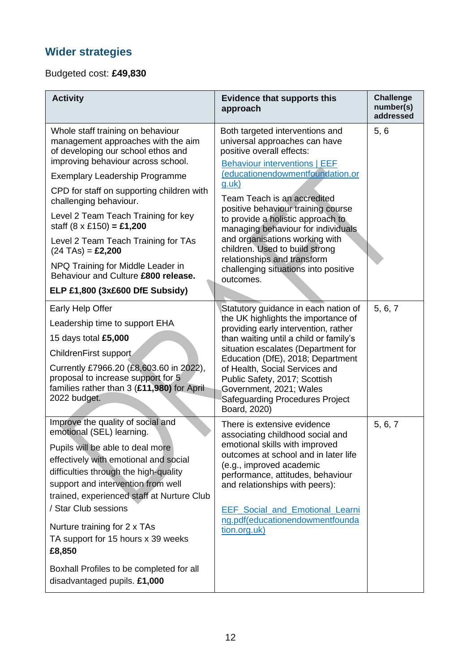## **Wider strategies**

#### Budgeted cost: **£49,830**

| <b>Activity</b>                                                                                                                                                                                                                                                                                                                                                                                                                                                                                                                           | <b>Evidence that supports this</b><br>approach                                                                                                                                                                                                                                                                                                                                                                                                                                                    | <b>Challenge</b><br>number(s)<br>addressed |
|-------------------------------------------------------------------------------------------------------------------------------------------------------------------------------------------------------------------------------------------------------------------------------------------------------------------------------------------------------------------------------------------------------------------------------------------------------------------------------------------------------------------------------------------|---------------------------------------------------------------------------------------------------------------------------------------------------------------------------------------------------------------------------------------------------------------------------------------------------------------------------------------------------------------------------------------------------------------------------------------------------------------------------------------------------|--------------------------------------------|
| Whole staff training on behaviour<br>management approaches with the aim<br>of developing our school ethos and<br>improving behaviour across school.<br><b>Exemplary Leadership Programme</b><br>CPD for staff on supporting children with<br>challenging behaviour.<br>Level 2 Team Teach Training for key<br>staff $(8 \times £150) = £1,200$<br>Level 2 Team Teach Training for TAs<br>$(24 \text{ TAs}) = \pounds2,200$<br>NPQ Training for Middle Leader in<br>Behaviour and Culture £800 release.<br>ELP £1,800 (3x£600 DfE Subsidy) | Both targeted interventions and<br>universal approaches can have<br>positive overall effects:<br><b>Behaviour interventions   EEF</b><br>(educationendowmentfoundation.or<br><u>g.uk)</u><br>Team Teach is an accredited<br>positive behaviour training course<br>to provide a holistic approach to<br>managing behaviour for individuals<br>and organisations working with<br>children. Used to build strong<br>relationships and transform<br>challenging situations into positive<br>outcomes. | 5, 6                                       |
| Early Help Offer<br>Leadership time to support EHA<br>15 days total £5,000<br>ChildrenFirst support<br>Currently £7966.20 (£8,603.60 in 2022),<br>proposal to increase support for 5<br>families rather than 3 (£11,980) for April<br>2022 budget.                                                                                                                                                                                                                                                                                        | Statutory guidance in each nation of<br>the UK highlights the importance of<br>providing early intervention, rather<br>than waiting until a child or family's<br>situation escalates (Department for<br>Education (DfE), 2018; Department<br>of Health, Social Services and<br>Public Safety, 2017; Scottish<br>Government, 2021; Wales<br>Safeguarding Procedures Project<br>Board, 2020)                                                                                                        | 5, 6, 7                                    |
| Improve the quality of social and<br>emotional (SEL) learning.<br>Pupils will be able to deal more<br>effectively with emotional and social<br>difficulties through the high-quality<br>support and intervention from well<br>trained, experienced staff at Nurture Club<br>/ Star Club sessions<br>Nurture training for 2 x TAs<br>TA support for 15 hours x 39 weeks<br>£8,850<br>Boxhall Profiles to be completed for all                                                                                                              | There is extensive evidence<br>associating childhood social and<br>emotional skills with improved<br>outcomes at school and in later life<br>(e.g., improved academic<br>performance, attitudes, behaviour<br>and relationships with peers):<br><b>EEF</b> Social and Emotional Learni<br>ng.pdf(educationendowmentfounda<br>tion.org.uk)                                                                                                                                                         | 5, 6, 7                                    |
| disadvantaged pupils. £1,000                                                                                                                                                                                                                                                                                                                                                                                                                                                                                                              |                                                                                                                                                                                                                                                                                                                                                                                                                                                                                                   |                                            |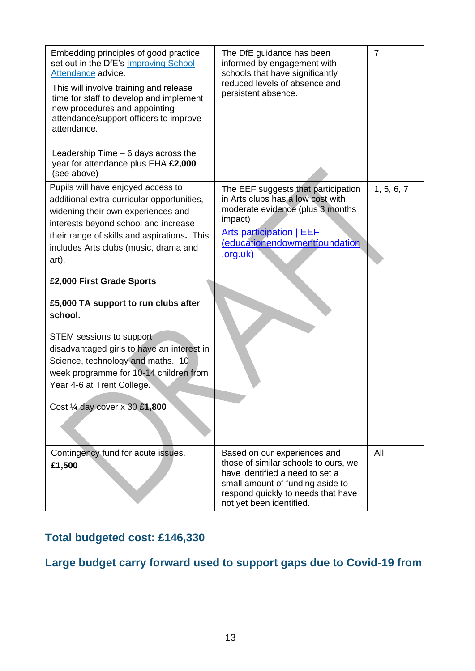| Embedding principles of good practice<br>set out in the DfE's Improving School<br>Attendance advice.<br>This will involve training and release<br>time for staff to develop and implement<br>new procedures and appointing<br>attendance/support officers to improve<br>attendance.                                                             | The DfE guidance has been<br>informed by engagement with<br>schools that have significantly<br>reduced levels of absence and<br>persistent absence.                                                            | $\overline{7}$ |
|-------------------------------------------------------------------------------------------------------------------------------------------------------------------------------------------------------------------------------------------------------------------------------------------------------------------------------------------------|----------------------------------------------------------------------------------------------------------------------------------------------------------------------------------------------------------------|----------------|
| Leadership Time $-6$ days across the<br>year for attendance plus EHA £2,000<br>(see above)                                                                                                                                                                                                                                                      |                                                                                                                                                                                                                |                |
| Pupils will have enjoyed access to<br>additional extra-curricular opportunities,<br>widening their own experiences and<br>interests beyond school and increase<br>their range of skills and aspirations. This<br>includes Arts clubs (music, drama and<br>art).<br>£2,000 First Grade Sports<br>£5,000 TA support to run clubs after<br>school. | The EEF suggests that participation<br>in Arts clubs has a low cost with<br>moderate evidence (plus 3 months<br>impact)<br><b>Arts participation   EEF</b><br>(educationendowmentfoundation<br><u>.org.uk)</u> | 1, 5, 6, 7     |
| STEM sessions to support<br>disadvantaged girls to have an interest in<br>Science, technology and maths. 10<br>week programme for 10-14 children from<br>Year 4-6 at Trent College.<br>Cost 1/4 day cover x 30 £1,800                                                                                                                           |                                                                                                                                                                                                                |                |
| Contingency fund for acute issues.<br>£1,500                                                                                                                                                                                                                                                                                                    | Based on our experiences and<br>those of similar schools to ours, we<br>have identified a need to set a<br>small amount of funding aside to<br>respond quickly to needs that have<br>not yet been identified.  | All            |

### **Total budgeted cost: £146,330**

## **Large budget carry forward used to support gaps due to Covid-19 from**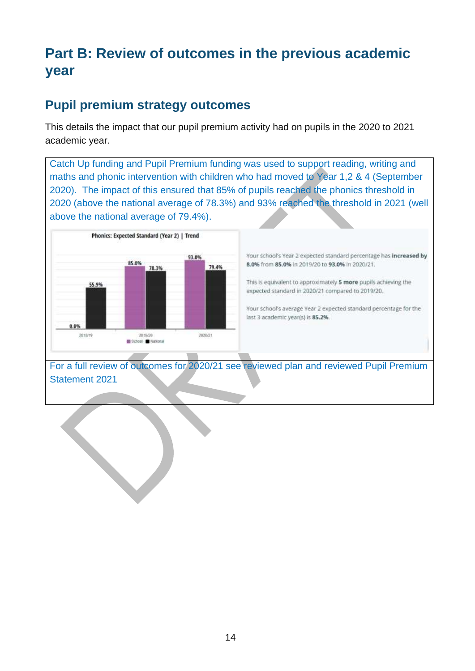# **Part B: Review of outcomes in the previous academic year**

## **Pupil premium strategy outcomes**

This details the impact that our pupil premium activity had on pupils in the 2020 to 2021 academic year.

Catch Up funding and Pupil Premium funding was used to support reading, writing and maths and phonic intervention with children who had moved to Year 1,2 & 4 (September 2020). The impact of this ensured that 85% of pupils reached the phonics threshold in 2020 (above the national average of 78.3%) and 93% reached the threshold in 2021 (well above the national average of 79.4%).



Your school's Year 2 expected standard percentage has increased by 8.0% from 85.0% in 2019/20 to 93.0% in 2020/21.

This is equivalent to approximately 5 more pupils achieving the expected standard in 2020/21 compared to 2019/20.

Your school's average Year 2 expected standard percentage for the last 3 academic year(s) is 85.2%.

For a full review of outcomes for 2020/21 see reviewed plan and reviewed Pupil Premium Statement 2021